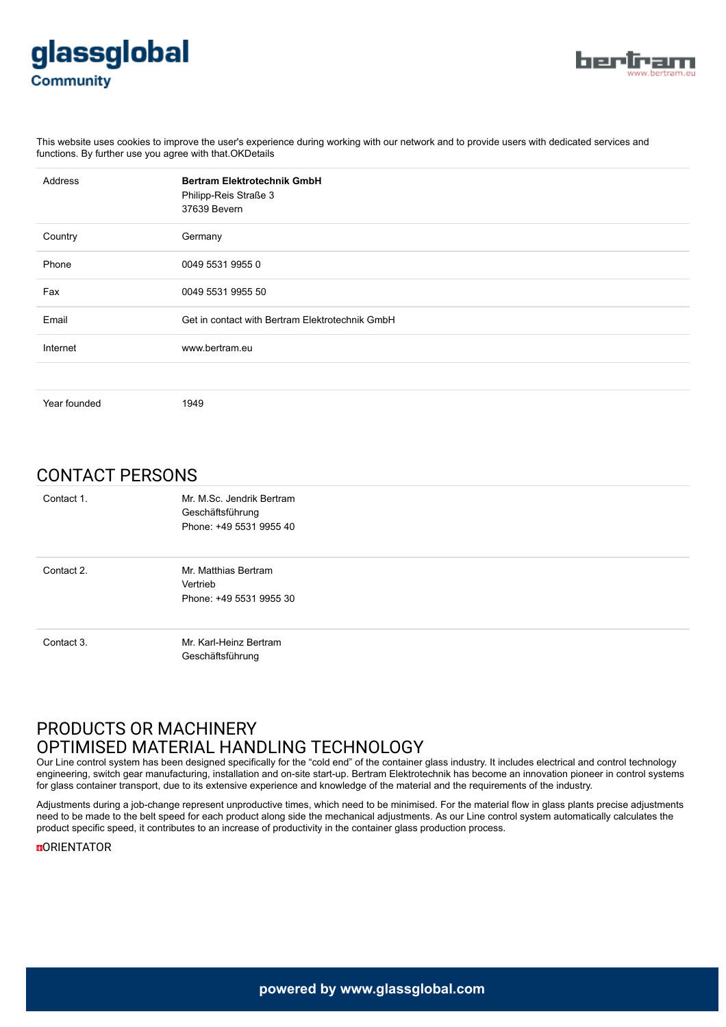



This website uses cookies to improve the user's experience during working with our network and to provide users with dedicated services and functions. By further use you agree with that.OKDetails

| Address      | <b>Bertram Elektrotechnik GmbH</b><br>Philipp-Reis Straße 3<br>37639 Bevern |
|--------------|-----------------------------------------------------------------------------|
| Country      | Germany                                                                     |
| Phone        | 0049 5531 9955 0                                                            |
| Fax          | 0049 5531 9955 50                                                           |
| Email        | Get in contact with Bertram Elektrotechnik GmbH                             |
| Internet     | www.bertram.eu                                                              |
|              |                                                                             |
| Year founded | 1949                                                                        |

CONTACT PERSONS

| Contact 1. | Mr. M.Sc. Jendrik Bertram<br>Geschäftsführung<br>Phone: +49 5531 9955 40 |
|------------|--------------------------------------------------------------------------|
| Contact 2. | Mr. Matthias Bertram<br>Vertrieb<br>Phone: +49 5531 9955 30              |
| Contact 3. | Mr. Karl-Heinz Bertram<br>Geschäftsführung                               |

## PRODUCTS OR MACHINERY OPTIMISED MATERIAL HANDLING TECHNOLOGY

Our Line control system has been designed specifically for the "cold end" of the container glass industry. It includes electrical and control technology engineering, switch gear manufacturing, installation and on-site start-up. Bertram Elektrotechnik has become an innovation pioneer in control systems for glass container transport, due to its extensive experience and knowledge of the material and the requirements of the industry.

Adjustments during a job-change represent unproductive times, which need to be minimised. For the material flow in glass plants precise adjustments need to be made to the belt speed for each product along side the mechanical adjustments. As our Line control system automatically calculates the product specific speed, it contributes to an increase of productivity in the container glass production process.

**DORIENTATOR**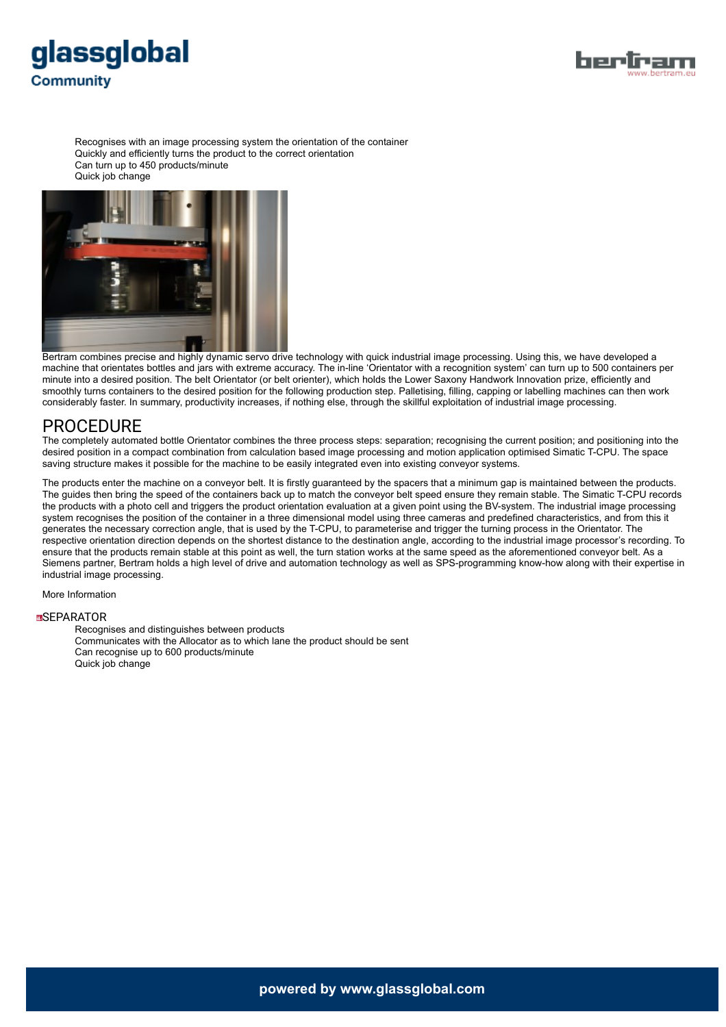



Recognises with an image processing system the orientation of the container Quickly and efficiently turns the product to the correct orientation Can turn up to 450 products/minute Quick job change



Bertram combines precise and highly dynamic servo drive technology with quick industrial image processing. Using this, we have developed a machine that orientates bottles and jars with extreme accuracy. The in-line 'Orientator with a recognition system' can turn up to 500 containers per minute into a desired position. The belt Orientator (or belt orienter), which holds the Lower Saxony Handwork Innovation prize, efficiently and smoothly turns containers to the desired position for the following production step. Palletising, filling, capping or labelling machines can then work considerably faster. In summary, productivity increases, if nothing else, through the skillful exploitation of industrial image processing.

### PROCEDURE

The completely automated bottle Orientator combines the three process steps: separation; recognising the current position; and positioning into the desired position in a compact combination from calculation based image processing and motion application optimised Simatic T-CPU. The space saving structure makes it possible for the machine to be easily integrated even into existing conveyor systems.

The products enter the machine on a conveyor belt. It is firstly guaranteed by the spacers that a minimum gap is maintained between the products. The guides then bring the speed of the containers back up to match the conveyor belt speed ensure they remain stable. The Simatic T-CPU records the products with a photo cell and triggers the product orientation evaluation at a given point using the BV-system. The industrial image processing system recognises the position of the container in a three dimensional model using three cameras and predefined characteristics, and from this it generates the necessary correction angle, that is used by the T-CPU, to parameterise and trigger the turning process in the Orientator. The respective orientation direction depends on the shortest distance to the destination angle, according to the industrial image processor's recording. To ensure that the products remain stable at this point as well, the turn station works at the same speed as the aforementioned conveyor belt. As a Siemens partner, Bertram holds a high level of drive and automation technology as well as SPS-programming know-how along with their expertise in industrial image processing.

More Information

#### **MSEPARATOR**

Recognises and distinguishes between products Communicates with the Allocator as to which lane the product should be sent Can recognise up to 600 products/minute Quick job change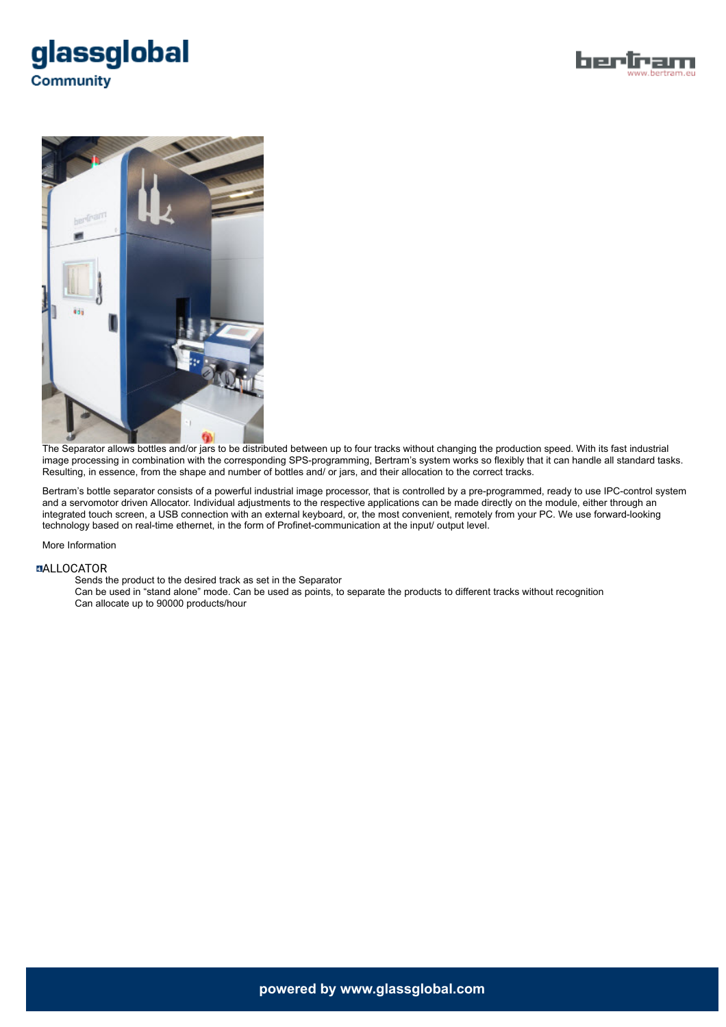





The Separator allows bottles and/or jars to be distributed between up to four tracks without changing the production speed. With its fast industrial image processing in combination with the corresponding SPS-programming, Bertram's system works so flexibly that it can handle all standard tasks. Resulting, in essence, from the shape and number of bottles and/ or jars, and their allocation to the correct tracks.

Bertram's bottle separator consists of a powerful industrial image processor, that is controlled by a pre-programmed, ready to use IPC-control system and a servomotor driven Allocator. Individual adjustments to the respective applications can be made directly on the module, either through an integrated touch screen, a USB connection with an external keyboard, or, the most convenient, remotely from your PC. We use forward-looking technology based on real-time ethernet, in the form of Profinet-communication at the input/ output level.

More Information

#### **MALLOCATOR**

Sends the product to the desired track as set in the Separator

Can be used in "stand alone" mode. Can be used as points, to separate the products to different tracks without recognition Can allocate up to 90000 products/hour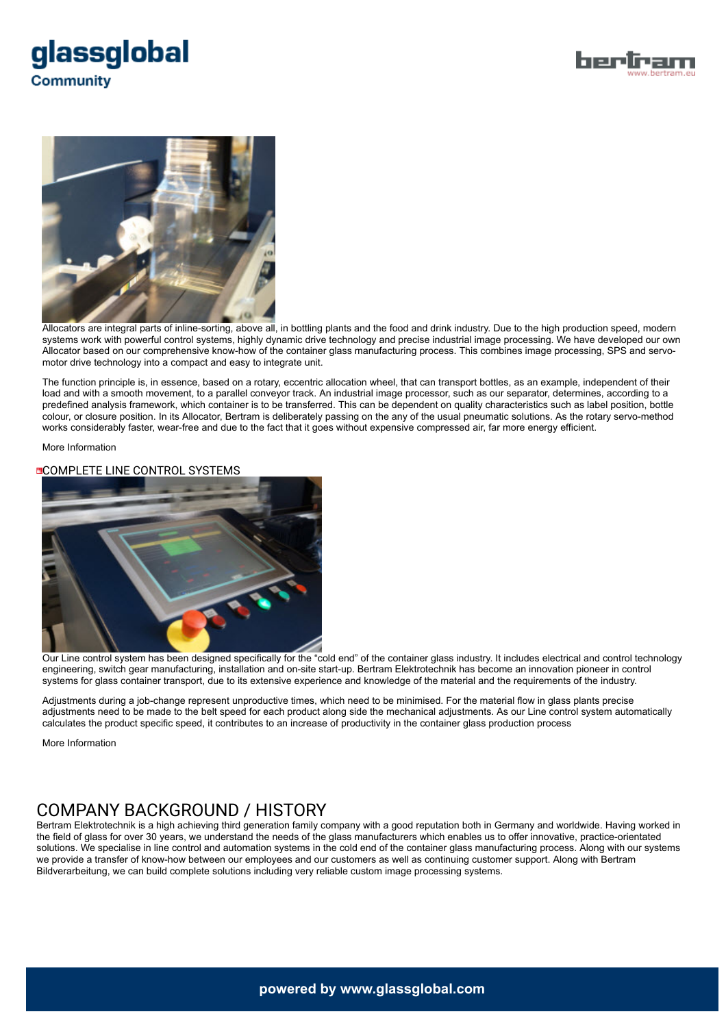





Allocators are integral parts of inline-sorting, above all, in bottling plants and the food and drink industry. Due to the high production speed, modern systems work with powerful control systems, highly dynamic drive technology and precise industrial image processing. We have developed our own Allocator based on our comprehensive know-how of the container glass manufacturing process. This combines image processing, SPS and servomotor drive technology into a compact and easy to integrate unit.

The function principle is, in essence, based on a rotary, eccentric allocation wheel, that can transport bottles, as an example, independent of their load and with a smooth movement, to a parallel conveyor track. An industrial image processor, such as our separator, determines, according to a predefined analysis framework, which container is to be transferred. This can be dependent on quality characteristics such as label position, bottle colour, or closure position. In its Allocator, Bertram is deliberately passing on the any of the usual pneumatic solutions. As the rotary servo-method works considerably faster, wear-free and due to the fact that it goes without expensive compressed air, far more energy efficient.

More Information

### **COMPLETE LINE CONTROL SYSTEMS**



Our Line control system has been designed specifically for the "cold end" of the container glass industry. It includes electrical and control technology engineering, switch gear manufacturing, installation and on-site start-up. Bertram Elektrotechnik has become an innovation pioneer in control systems for glass container transport, due to its extensive experience and knowledge of the material and the requirements of the industry.

Adjustments during a job-change represent unproductive times, which need to be minimised. For the material flow in glass plants precise adjustments need to be made to the belt speed for each product along side the mechanical adjustments. As our Line control system automatically calculates the product specific speed, it contributes to an increase of productivity in the container glass production process

More Information

# COMPANY BACKGROUND / HISTORY

Bertram Elektrotechnik is a high achieving third generation family company with a good reputation both in Germany and worldwide. Having worked in the field of glass for over 30 years, we understand the needs of the glass manufacturers which enables us to offer innovative, practice-orientated solutions. We specialise in line control and automation systems in the cold end of the container glass manufacturing process. Along with our systems we provide a transfer of know-how between our employees and our customers as well as continuing customer support. Along with Bertram Bildverarbeitung, we can build complete solutions including very reliable custom image processing systems.